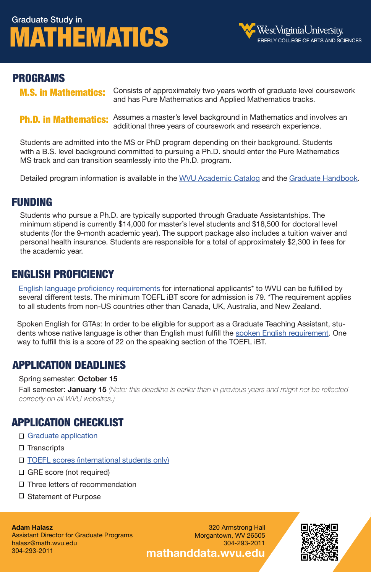# Graduate Study in [MATHEMATICS](http://catalog.wvu.edu/graduate/eberlycollegeofartsandsciences/mathematics/#text)



### PROGRAMS

[M.S. in Mathematics:](http://catalog.wvu.edu/graduate/eberlycollegeofartsandsciences/mathematics/ms/)

Consists of approximately two years worth of graduate level coursework and has Pure Mathematics and Applied Mathematics tracks.

[Ph.D. in Mathematics:](http://catalog.wvu.edu/graduate/eberlycollegeofartsandsciences/mathematics/phd/) Assumes a master's level background in Mathematics and involves an additional three years of coursework and research experience.

Students are admitted into the MS or PhD program depending on their background. Students with a B.S. level background committed to pursuing a Ph.D. should enter the Pure Mathematics MS track and can transition seamlessly into the Ph.D. program.

Detailed program information is available in th[e WVU Academic Catalog a](http://catalog.wvu.edu/graduate/eberlycollegeofartsandsciences/mathematics/#text)nd the [Graduate Handbook.](https://mathanddata.wvu.edu/students/graduate/handbook)

### FUNDING

Students who pursue a Ph.D. are typically supported through Graduate Assistantships. The minimum stipend is currently \$14,000 for master's level students and \$18,500 for doctoral level students (for the 9-month academic year). The support package also includes a tuition waiver and personal health insurance. Students are responsible for a total of approximately \$2,300 in fees for the academic year.

## ENGLISH PROFICIENCY

[English language proficiency requirements](https://graduateadmissions.wvu.edu/information-for/international-students) for international applicants\* to WVU can be fulfilled by several different tests. The minimum TOEFL iBT score for admission is 79. \*The requirement applies to all students from non-US countries other than Canada, UK, Australia, and New Zealand.

Spoken English for GTAs: In order to be eligible for support as a Graduate Teaching Assistant, students whose native language is other than English must fulfill the [spoken English requirement.](https://elli.wvu.edu/testing-resources/english-proficiency-gtas) One way to fulfill this is a score of 22 on the speaking section of the TOEFL iBT.

## APPLICATION DEADLINES

#### Spring semester: **October 15**

Fall semester: **January 15** *(Note: this deadline is earlier than in previous years and might not be reflected correctly on all WVU websites.)*

## APPLICATION CHECKLIST

- □ [Graduate application](https://graduateadmissions.wvu.edu/how-to-apply/apply-for-2022-2023)
- $\square$  Transcripts
- □ [TOEFL scores \(international students only\)](https://graduateadmissions.wvu.edu/information-for/international-students)
- □ GRE score (not required)
- $\square$  Three letters of recommendation
- □ Statement of Purpose

#### **Adam Halasz**

Assistant Director for Graduate Programs halasz@math.wvu.edu 304-293-2011

320 Armstrong Hall Morgantown, WV 26505 304-293-2011 **[mathanddata.wvu.edu](https://mathanddata.wvu.edu/)**